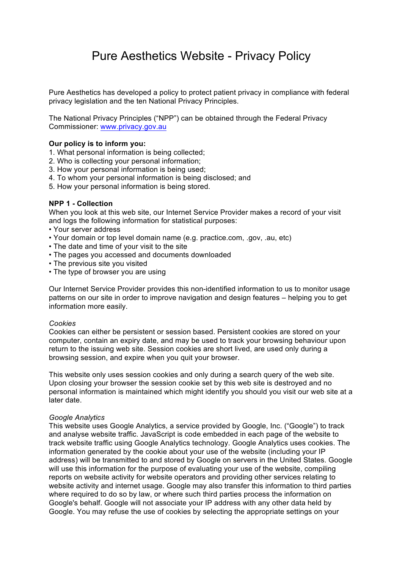# Pure Aesthetics Website - Privacy Policy

Pure Aesthetics has developed a policy to protect patient privacy in compliance with federal privacy legislation and the ten National Privacy Principles.

The National Privacy Principles ("NPP") can be obtained through the Federal Privacy Commissioner: www.privacy.gov.au

## **Our policy is to inform you:**

- 1. What personal information is being collected;
- 2. Who is collecting your personal information;
- 3. How your personal information is being used;
- 4. To whom your personal information is being disclosed; and
- 5. How your personal information is being stored.

## **NPP 1 - Collection**

When you look at this web site, our Internet Service Provider makes a record of your visit and logs the following information for statistical purposes:

- Your server address
- Your domain or top level domain name (e.g. practice.com, .gov, .au, etc)
- The date and time of your visit to the site
- The pages you accessed and documents downloaded
- The previous site you visited
- The type of browser you are using

Our Internet Service Provider provides this non-identified information to us to monitor usage patterns on our site in order to improve navigation and design features – helping you to get information more easily.

#### *Cookies*

Cookies can either be persistent or session based. Persistent cookies are stored on your computer, contain an expiry date, and may be used to track your browsing behaviour upon return to the issuing web site. Session cookies are short lived, are used only during a browsing session, and expire when you quit your browser.

This website only uses session cookies and only during a search query of the web site. Upon closing your browser the session cookie set by this web site is destroyed and no personal information is maintained which might identify you should you visit our web site at a later date.

#### *Google Analytics*

This website uses Google Analytics, a service provided by Google, Inc. ("Google") to track and analyse website traffic. JavaScript is code embedded in each page of the website to track website traffic using Google Analytics technology. Google Analytics uses cookies. The information generated by the cookie about your use of the website (including your IP address) will be transmitted to and stored by Google on servers in the United States. Google will use this information for the purpose of evaluating your use of the website, compiling reports on website activity for website operators and providing other services relating to website activity and internet usage. Google may also transfer this information to third parties where required to do so by law, or where such third parties process the information on Google's behalf. Google will not associate your IP address with any other data held by Google. You may refuse the use of cookies by selecting the appropriate settings on your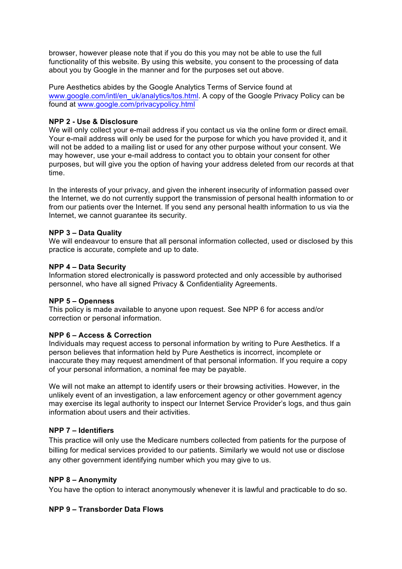browser, however please note that if you do this you may not be able to use the full functionality of this website. By using this website, you consent to the processing of data about you by Google in the manner and for the purposes set out above.

Pure Aesthetics abides by the Google Analytics Terms of Service found at www.google.com/intl/en\_uk/analytics/tos.html. A copy of the Google Privacy Policy can be found at www.google.com/privacypolicy.html

## **NPP 2 - Use & Disclosure**

We will only collect your e-mail address if you contact us via the online form or direct email. Your e-mail address will only be used for the purpose for which you have provided it, and it will not be added to a mailing list or used for any other purpose without your consent. We may however, use your e-mail address to contact you to obtain your consent for other purposes, but will give you the option of having your address deleted from our records at that time.

In the interests of your privacy, and given the inherent insecurity of information passed over the Internet, we do not currently support the transmission of personal health information to or from our patients over the Internet. If you send any personal health information to us via the Internet, we cannot guarantee its security.

## **NPP 3 – Data Quality**

We will endeavour to ensure that all personal information collected, used or disclosed by this practice is accurate, complete and up to date.

## **NPP 4 – Data Security**

Information stored electronically is password protected and only accessible by authorised personnel, who have all signed Privacy & Confidentiality Agreements.

## **NPP 5 – Openness**

This policy is made available to anyone upon request. See NPP 6 for access and/or correction or personal information.

## **NPP 6 – Access & Correction**

Individuals may request access to personal information by writing to Pure Aesthetics. If a person believes that information held by Pure Aesthetics is incorrect, incomplete or inaccurate they may request amendment of that personal information. If you require a copy of your personal information, a nominal fee may be payable.

We will not make an attempt to identify users or their browsing activities. However, in the unlikely event of an investigation, a law enforcement agency or other government agency may exercise its legal authority to inspect our Internet Service Provider's logs, and thus gain information about users and their activities.

## **NPP 7 – Identifiers**

This practice will only use the Medicare numbers collected from patients for the purpose of billing for medical services provided to our patients. Similarly we would not use or disclose any other government identifying number which you may give to us.

## **NPP 8 – Anonymity**

You have the option to interact anonymously whenever it is lawful and practicable to do so.

## **NPP 9 – Transborder Data Flows**